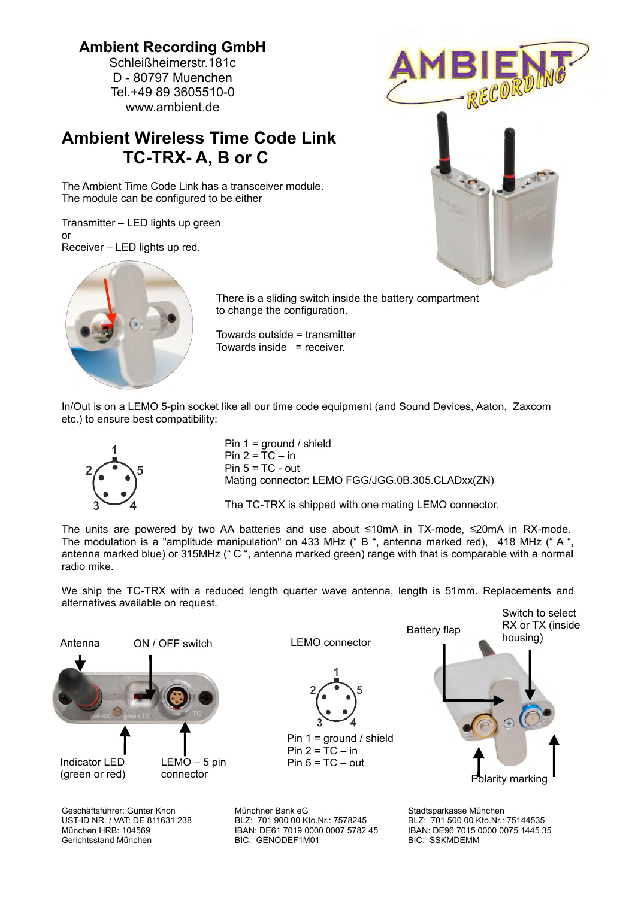## **Ambient Recording GmbH**

Schleißheimerstr.181c D - 80797 Muenchen Tel.+49 89 3605510-0 www.ambient.de

## **Ambient Wireless Time Code Link TC-TRX- A, B or C**

The Ambient Time Code Link has a transceiver module. The module can be configured to be either

Transmitter – LED lights up green or Receiver – LED lights up red.





There is a sliding switch inside the battery compartment to change the configuration.

Towards outside = transmitter Towards inside = receiver.

In/Out is on a LEMO 5-pin socket like all our time code equipment (and Sound Devices, Aaton, Zaxcom etc.) to ensure best compatibility:



Pin 1 = ground / shield Pin  $2 = TC - in$  $Pin 5 = TC - out$ Mating connector: LEMO FGG/JGG.0B.305.CLADxx(ZN)

The TC-TRX is shipped with one mating LEMO connector.

The units are powered by two AA batteries and use about  $\leq 10 \text{ mA}$  in TX-mode,  $\leq 20 \text{ mA}$  in RX-mode. The modulation is a "amplitude manipulation" on 433 MHz (" B ", antenna marked red), 418 MHz (" A ", antenna marked blue) or 315MHz (" C ", antenna marked green) range with that is comparable with a normal radio mike.

We ship the TC-TRX with a reduced length quarter wave antenna, length is 51mm. Replacements and alternatives available on request.